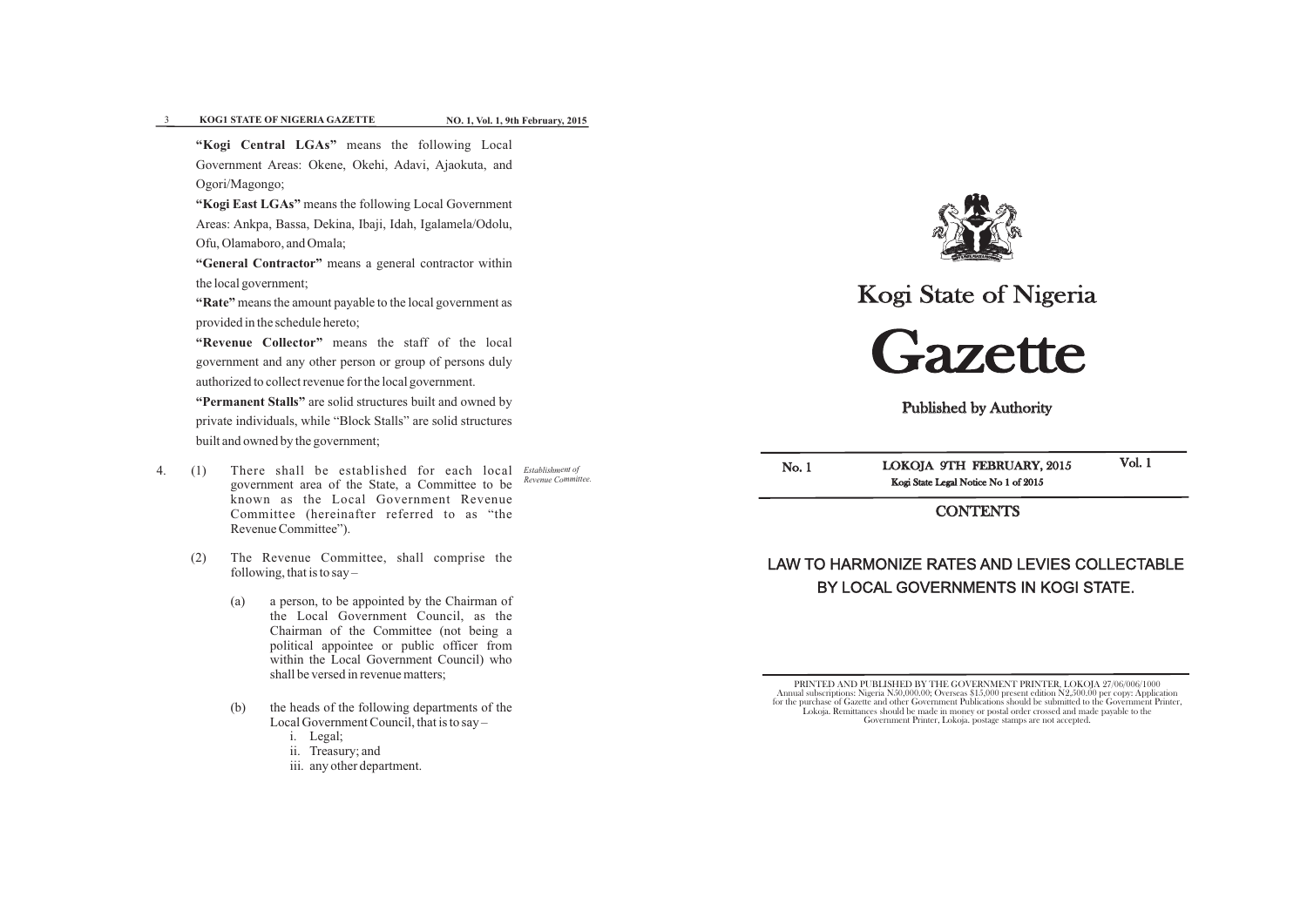Kogi State of Nigeria



Published by Authority

LOKOJA 9TH FEBRUARY, 2015 Kogi State Legal Notice No 1 of 2015

**CONTENTS** 

No. 1

Vol. 1

# LAW TO HARMONIZE RATES AND LEVIES COLLECTABLE BY LOCAL GOVERNMENTS IN KOGI STATE.

PRINTED AND PUBLISHED BY THE GOVERNMENT PRINTER, LOKOJA 27/06/006/1000 Annual subscriptions: Nigeria N50,000.00; Overseas \$15,000 present edition N2,500.00 per copy: Application for the purchase of Gazette and other Government Publications should be submitted to the Government Printer, Lokoja. Remittances should be made in money or postal order crossed and made payable to the Government Printer, Lokoja. postage stamps are not accepted.





# **8 XOG1 STATE OF NIGERIA GAZETTE**

 **NO. 1, Vol. 1, 9th February, 2015** 

**"Kogi Central LGAs"** means the following Local Government Areas: Okene, Okehi, Adavi, Ajaokuta, and Ogori/Magongo;

**"Kogi East LGAs"** means the following Local Government Areas: Ankpa, Bassa, Dekina, Ibaji, Idah, Igalamela/Odolu, Ofu, Olamaboro, and Omala;

**"General Contractor"** means a general contractor within the local government;

**"Rate"** means the amount payable to the local government as provided in the schedule hereto;

**"Revenue Collector"** means the staff of the local government and any other person or group of persons duly authorized to collect revenue for the local government.

**"Permanent Stalls"** are solid structures built and owned by private individuals, while "Block Stalls" are solid structures built and owned by the government;

- *Establishment of* 4. (1) There shall be established for each local *Revenue Committee.* government area of the State, a Committee to be known as the Local Government Revenue Committee (hereinafter referred to as "the Revenue Committee").
	- (2) The Revenue Committee, shall comprise the following, that is to say  $-$ 
		- (a) a person, to be appointed by the Chairman of the Local Government Council, as the Chairman of the Committee (not being a political appointee or public officer from within the Local Government Council) who shall be versed in revenue matters;
		- (b) the heads of the following departments of the Local Government Council, that is to say –
			- i. Legal;
			- ii. Treasury; and
			- iii. any other department.

**WATT & PATTY, PEACE & PROGRESS**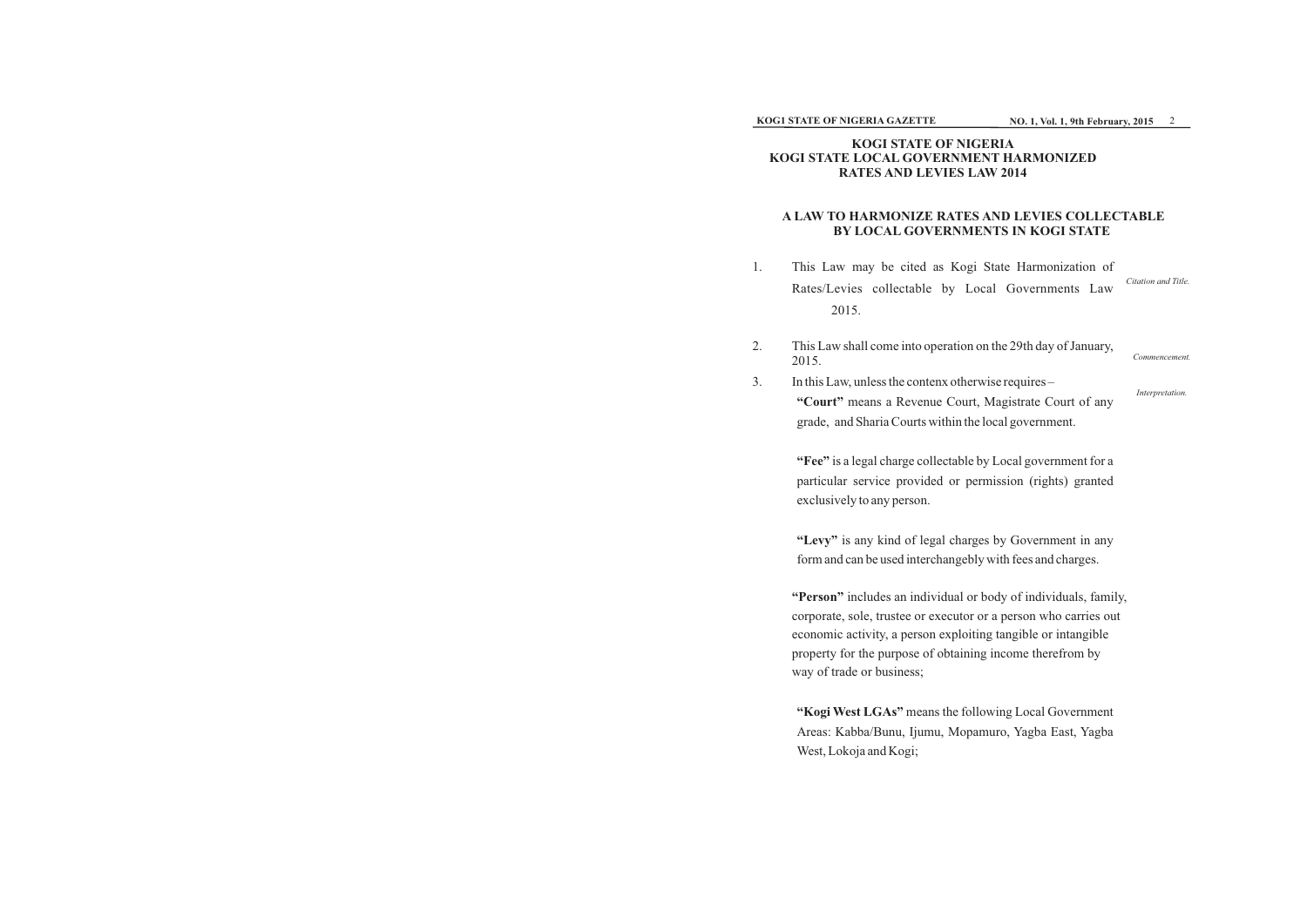### **KOG1 STATE OF NIGERIA GAZETTE**

# **KOGI STATE OF NIGERIA KOGI STATE LOCAL GOVERNMENT HARMONIZED RATES AND LEVIES LAW 2014**

# **A LAW TO HARMONIZE RATES AND LEVIES COLLECTABLE BY LOCAL GOVERNMENTS IN KOGI STATE**

- 1. This Law may be cited as Kogi S Rates/Levies collectable by Loca 2015.
- 2. This Law shall come into operation on the 29th day of January, 2015.
- 3. In this Law, unless the contenx otherwise requires **"Court"** means a Revenue Court, Magistrate Court of any grade, and Sharia Courts within the local government.

**"Fee"** is a legal charge collectable by Local government for a particular service provided or permission (rights) granted exclusively to any person.

**"Levy"** is any kind of legal charges by Government in any form and can be used interchangebly with fees and charges.

**"Person"** includes an individual or body of individuals, family, corporate, sole, trustee or executor or a person who carries out economic activity, a person exploiting tangible or intangible property for the purpose of obtaining income therefrom by way of trade or business;

**"Kogi West LGAs"** means the following Local Government Areas: Kabba/Bunu, Ijumu, Mopamuro, Yagba East, Yagba West, Lokoja and Kogi;

| State Harmonization of |                     |
|------------------------|---------------------|
| al Governments Law     | Citation and Title. |

*Interpretation.*

*Commencement.*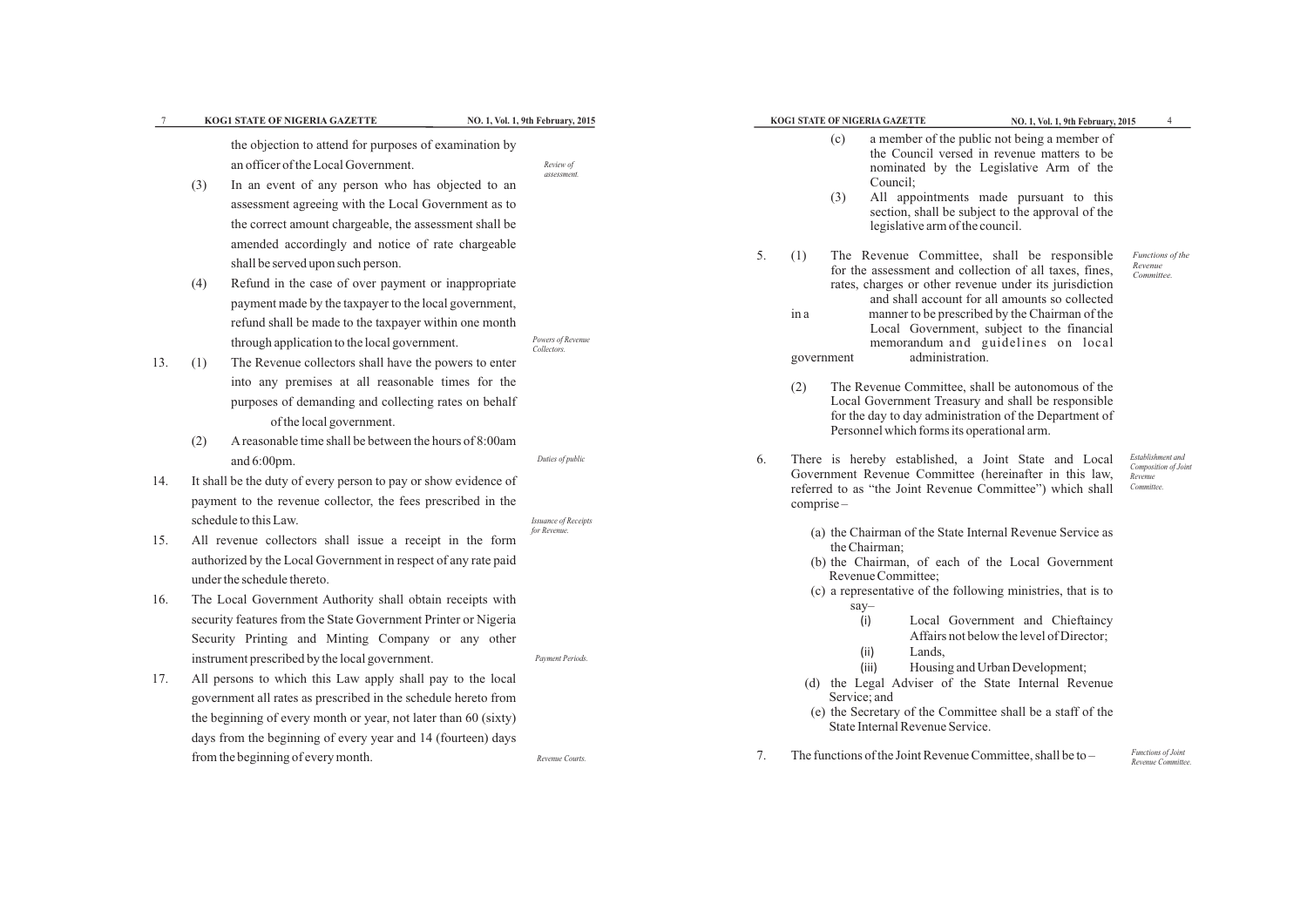|     | KOG1 STATE OF NIGERIA GAZETTE                                                                                                                                                                                                                                                                                                     | NO. 1, Vol. 1, 9th February, 2015           |    | KOG1 STATE OF NIGERIA GAZETTE                                   | NO. 1, Vol. 1, 9th February, 2015                                                                                                                                                                                                                                                                                                                                          |                                                       |
|-----|-----------------------------------------------------------------------------------------------------------------------------------------------------------------------------------------------------------------------------------------------------------------------------------------------------------------------------------|---------------------------------------------|----|-----------------------------------------------------------------|----------------------------------------------------------------------------------------------------------------------------------------------------------------------------------------------------------------------------------------------------------------------------------------------------------------------------------------------------------------------------|-------------------------------------------------------|
|     | the objection to attend for purposes of examination by<br>an officer of the Local Government.<br>In an event of any person who has objected to an<br>(3)<br>assessment agreeing with the Local Government as to<br>the correct amount chargeable, the assessment shall be<br>amended accordingly and notice of rate chargeable    | Review of<br>assessment.                    |    | (c)<br>Council;<br>(3)                                          | a member of the public not being a member of<br>the Council versed in revenue matters to be<br>nominated by the Legislative Arm of the<br>All appointments made pursuant to this<br>section, shall be subject to the approval of the<br>legislative arm of the council.                                                                                                    |                                                       |
| 13. | shall be served upon such person.<br>Refund in the case of over payment or inappropriate<br>(4)<br>payment made by the taxpayer to the local government,<br>refund shall be made to the taxpayer within one month<br>through application to the local government.<br>The Revenue collectors shall have the powers to enter<br>(1) | Powers of Revenue<br>Collectors.            | 5. | (1)<br>ina<br>government                                        | The Revenue Committee, shall be responsible<br>for the assessment and collection of all taxes, fines,<br>rates, charges or other revenue under its jurisdiction<br>and shall account for all amounts so collected<br>manner to be prescribed by the Chairman of the<br>Local Government, subject to the financial<br>memorandum and guidelines on local<br>administration. | <b>Functions</b><br>Revenue<br>Committee              |
|     | into any premises at all reasonable times for the<br>purposes of demanding and collecting rates on behalf<br>of the local government.<br>A reasonable time shall be between the hours of 8:00am<br>(2)                                                                                                                            |                                             |    | (2)                                                             | The Revenue Committee, shall be autonomous of the<br>Local Government Treasury and shall be responsible<br>for the day to day administration of the Department of<br>Personnel which forms its operational arm.                                                                                                                                                            |                                                       |
| 14. | and $6:00 \text{pm}$ .<br>It shall be the duty of every person to pay or show evidence of<br>payment to the revenue collector, the fees prescribed in the                                                                                                                                                                         | Duties of public                            | 6. | $comprise-$                                                     | There is hereby established, a Joint State and Local<br>Government Revenue Committee (hereinafter in this law,<br>referred to as "the Joint Revenue Committee") which shall                                                                                                                                                                                                | Establishment<br>Composition<br>Revenue<br>Committee. |
| 15. | schedule to this Law.<br>All revenue collectors shall issue a receipt in the form<br>authorized by the Local Government in respect of any rate paid<br>under the schedule thereto.                                                                                                                                                | <b>Issuance of Receipts</b><br>for Revenue. |    | the Chairman;<br>Revenue Committee;                             | (a) the Chairman of the State Internal Revenue Service as<br>(b) the Chairman, of each of the Local Government                                                                                                                                                                                                                                                             |                                                       |
| 16. | The Local Government Authority shall obtain receipts with<br>security features from the State Government Printer or Nigeria<br>Security Printing and Minting Company or any other<br>instrument prescribed by the local government.                                                                                               | Payment Periods.                            |    | say-<br>(i)<br>(ii)<br>Lands,                                   | (c) a representative of the following ministries, that is to<br>Local Government and Chieftaincy<br>Affairs not below the level of Director;                                                                                                                                                                                                                               |                                                       |
| 17. | All persons to which this Law apply shall pay to the local<br>government all rates as prescribed in the schedule hereto from<br>the beginning of every month or year, not later than 60 (sixty)<br>days from the beginning of every year and 14 (fourteen) days                                                                   |                                             |    | (iii)<br>(d)<br>Service; and<br>State Internal Revenue Service. | Housing and Urban Development;<br>the Legal Adviser of the State Internal Revenue<br>(e) the Secretary of the Committee shall be a staff of the                                                                                                                                                                                                                            |                                                       |
|     | from the beginning of every month.                                                                                                                                                                                                                                                                                                | Revenue Courts.                             | 7. |                                                                 | The functions of the Joint Revenue Committee, shall be to –                                                                                                                                                                                                                                                                                                                | Functions of.<br>Revenue Com                          |
|     |                                                                                                                                                                                                                                                                                                                                   |                                             |    |                                                                 |                                                                                                                                                                                                                                                                                                                                                                            |                                                       |

*Functions of the Revenue Committee.*

*Establishment and Composition of Joint Revenue Committee.*

*Functions of Joint Revenue Committee.*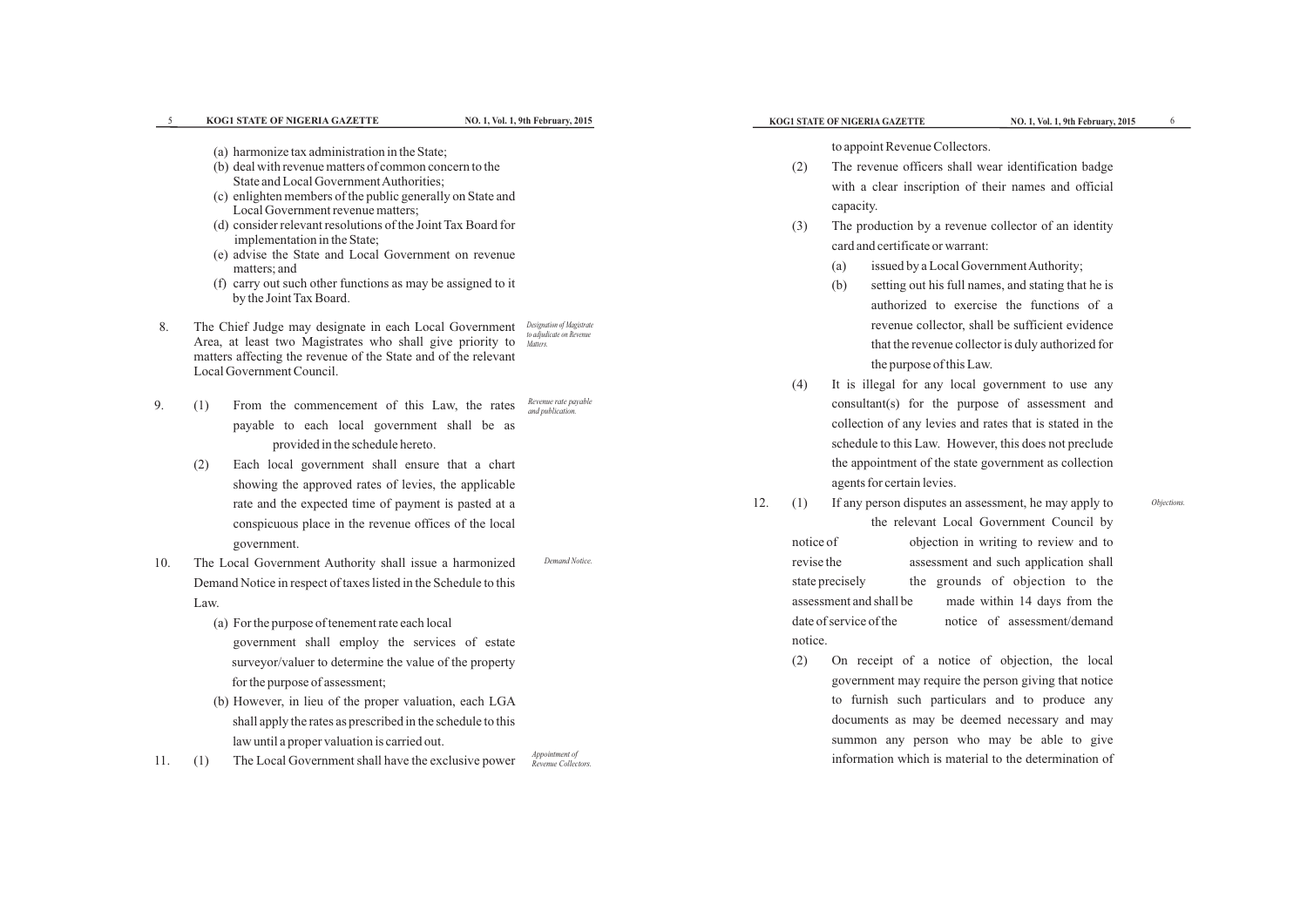*Objections.*

|            | KOG1 STATE OF NIGERIA GAZETTE                                                                                                                                                                                                                                                                                                                                                                                                                                                                                                                                                              | NO. 1, Vol. 1, 9th February, 2015                                 | KOG1 STATE OF NIGERIA GAZETTE                                                                                                                                                                                                                                                                                                                                                                                                       | NO. 1, Vol. 1, 9th February, 2015                                                                                                                                                |         |
|------------|--------------------------------------------------------------------------------------------------------------------------------------------------------------------------------------------------------------------------------------------------------------------------------------------------------------------------------------------------------------------------------------------------------------------------------------------------------------------------------------------------------------------------------------------------------------------------------------------|-------------------------------------------------------------------|-------------------------------------------------------------------------------------------------------------------------------------------------------------------------------------------------------------------------------------------------------------------------------------------------------------------------------------------------------------------------------------------------------------------------------------|----------------------------------------------------------------------------------------------------------------------------------------------------------------------------------|---------|
|            | (a) harmonize tax administration in the State;<br>(b) deal with revenue matters of common concern to the<br>State and Local Government Authorities;<br>(c) enlighten members of the public generally on State and<br>Local Government revenue matters;<br>(d) consider relevant resolutions of the Joint Tax Board for<br>implementation in the State;<br>(e) advise the State and Local Government on revenue<br>matters; and<br>(f) carry out such other functions as may be assigned to it<br>by the Joint Tax Board.                                                                   |                                                                   | to appoint Revenue Collectors.<br>The revenue officers shall wear identification badge<br>(2)<br>with a clear inscription of their names and official<br>capacity.<br>The production by a revenue collector of an identity<br>(3)<br>card and certificate or warrant:<br>$\left( a\right)$<br>(b)                                                                                                                                   | issued by a Local Government Authority;<br>setting out his full names, and stating that he is<br>authorized to exercise the functions of a                                       |         |
| 8.         | The Chief Judge may designate in each Local Government<br>Area, at least two Magistrates who shall give priority to<br>matters affecting the revenue of the State and of the relevant<br>Local Government Council.                                                                                                                                                                                                                                                                                                                                                                         | Designation of Magistrate<br>to adjudicate on Revenue<br>Matters. | the purpose of this Law.<br>(4)<br>It is illegal for any local government to use any                                                                                                                                                                                                                                                                                                                                                | revenue collector, shall be sufficient evidence<br>that the revenue collector is duly authorized for                                                                             |         |
| 9.         | From the commencement of this Law, the rates<br>(1)<br>payable to each local government shall be as<br>provided in the schedule hereto.<br>Each local government shall ensure that a chart<br>(2)<br>showing the approved rates of levies, the applicable<br>rate and the expected time of payment is pasted at a<br>conspicuous place in the revenue offices of the local                                                                                                                                                                                                                 | Revenue rate payable<br>and publication.                          | consultant(s) for the purpose of assessment and<br>collection of any levies and rates that is stated in the<br>schedule to this Law. However, this does not preclude<br>the appointment of the state government as collection<br>agents for certain levies.<br>12.<br>If any person disputes an assessment, he may apply to<br>(1)                                                                                                  | the relevant Local Government Council by                                                                                                                                         | Objecti |
| 10.<br>11. | government.<br>The Local Government Authority shall issue a harmonized<br>Demand Notice in respect of taxes listed in the Schedule to this<br>Law.<br>(a) For the purpose of tenement rate each local<br>government shall employ the services of estate<br>surveyor/valuer to determine the value of the property<br>for the purpose of assessment;<br>(b) However, in lieu of the proper valuation, each LGA<br>shall apply the rates as prescribed in the schedule to this<br>law until a proper valuation is carried out.<br>The Local Government shall have the exclusive power<br>(1) | Demand Notice.<br>Appointment of<br>Revenue Collectors.           | notice of<br>revise the<br>state precisely<br>assessment and shall be<br>date of service of the<br>notice.<br>(2)<br>On receipt of a notice of objection, the local<br>government may require the person giving that notice<br>to furnish such particulars and to produce any<br>documents as may be deemed necessary and may<br>summon any person who may be able to give<br>information which is material to the determination of | objection in writing to review and to<br>assessment and such application shall<br>the grounds of objection to the<br>made within 14 days from the<br>notice of assessment/demand |         |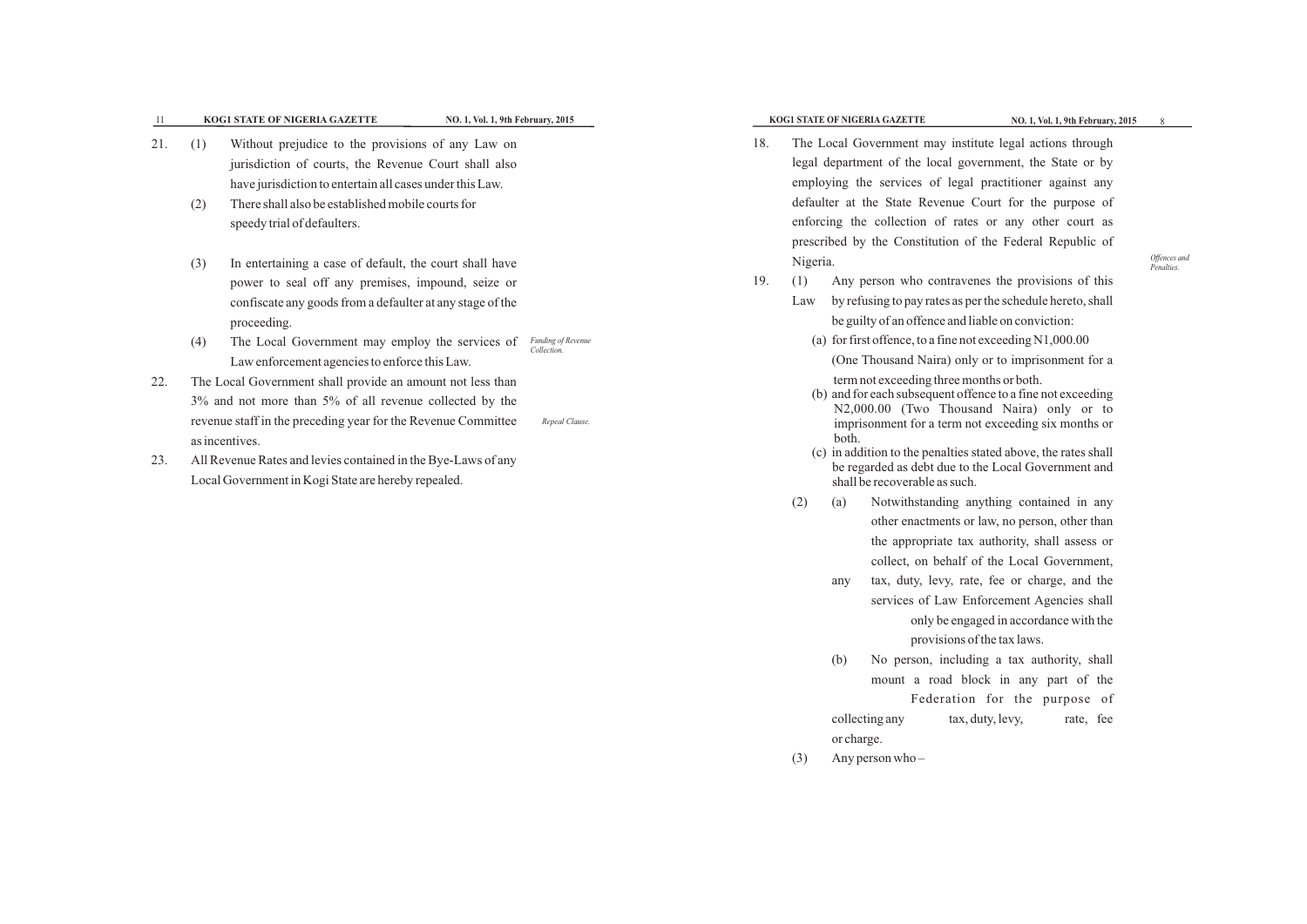- ything contained in any other enactments or law, no person, other than the appropriate tax authority, shall assess or collect, on behalf of the Local Government, services of Law Enforcement Agencies shall only be engaged in accordance with the provisions of the tax laws.
- 
- any tax, duty, levy, rate, fee or charge, and the
- 
- 
- (b) No person, including a tax authority, shall mount a road block in any part of the Federation for the purpose of collecting any tax, duty, levy, rate, fee
	-
- 
- or charge.
- (3) Any person who –

- nes the provisions of this r the schedule hereto, shall able on conviction:
- $exceeding N1,000.00$
- or to imprisonment for a nths or both.
- nce to a fine not exceeding nd Naira) only or to exceeding six months or
- tated above, the rates shall he Local Government and

|     |            | NO. 1, Vol. 1, 9th February, 2015<br>KOG1 STATE OF NIGERIA GAZETTE                                                                                                                                                                                        |                                          |     |                        |       | KOG1 STATE OF NIGERIA GAZETTE                                                                                   | NO. 1, Vol. 1, 9th February, 2015                                                                                                                                                                                     |              |
|-----|------------|-----------------------------------------------------------------------------------------------------------------------------------------------------------------------------------------------------------------------------------------------------------|------------------------------------------|-----|------------------------|-------|-----------------------------------------------------------------------------------------------------------------|-----------------------------------------------------------------------------------------------------------------------------------------------------------------------------------------------------------------------|--------------|
| 21  | (1)        | Without prejudice to the provisions of any Law on<br>jurisdiction of courts, the Revenue Court shall also<br>have jurisdiction to entertain all cases under this Law.                                                                                     |                                          | 18. |                        |       |                                                                                                                 | The Local Government may institute legal actions through<br>legal department of the local government, the State or by<br>employing the services of legal practitioner against any                                     |              |
|     | (2)        | There shall also be established mobile courts for<br>speedy trial of defaulters.                                                                                                                                                                          |                                          |     |                        |       |                                                                                                                 | defaulter at the State Revenue Court for the purpose of<br>enforcing the collection of rates or any other court as<br>prescribed by the Constitution of the Federal Republic of                                       |              |
|     | (3)<br>(4) | In entertaining a case of default, the court shall have<br>power to seal off any premises, impound, seize or<br>confiscate any goods from a defaulter at any stage of the<br>proceeding.<br>The Local Government may employ the services of               | <b>Funding of Revenue</b><br>Collection. | 19. | Nigeria.<br>(1)<br>Law |       | be guilty of an offence and liable on conviction:<br>(a) for first offence, to a fine not exceeding $N1,000.00$ | Any person who contravenes the provisions of this<br>by refusing to pay rates as per the schedule hereto, shall                                                                                                       | Offe<br>Penc |
| 22. |            | Law enforcement agencies to enforce this Law.<br>The Local Government shall provide an amount not less than<br>3% and not more than 5% of all revenue collected by the<br>revenue staff in the preceding year for the Revenue Committee<br>as incentives. | Repeal Clause.                           |     |                        | both. | term not exceeding three months or both.                                                                        | (One Thousand Naira) only or to imprisonment for a<br>(b) and for each subsequent offence to a fine not exceeding<br>N2,000.00 (Two Thousand Naira) only or to<br>imprisonment for a term not exceeding six months or |              |
| 23. |            | All Revenue Rates and levies contained in the Bye-Laws of any<br>Local Government in Kogi State are hereby repealed.                                                                                                                                      |                                          |     | (2)                    | (a)   | shall be recoverable as such.                                                                                   | (c) in addition to the penalties stated above, the rates shall<br>be regarded as debt due to the Local Government and<br>Notwithstanding anything contained in any<br>other enactments or law no person other than    |              |

*Offences and Penalties.*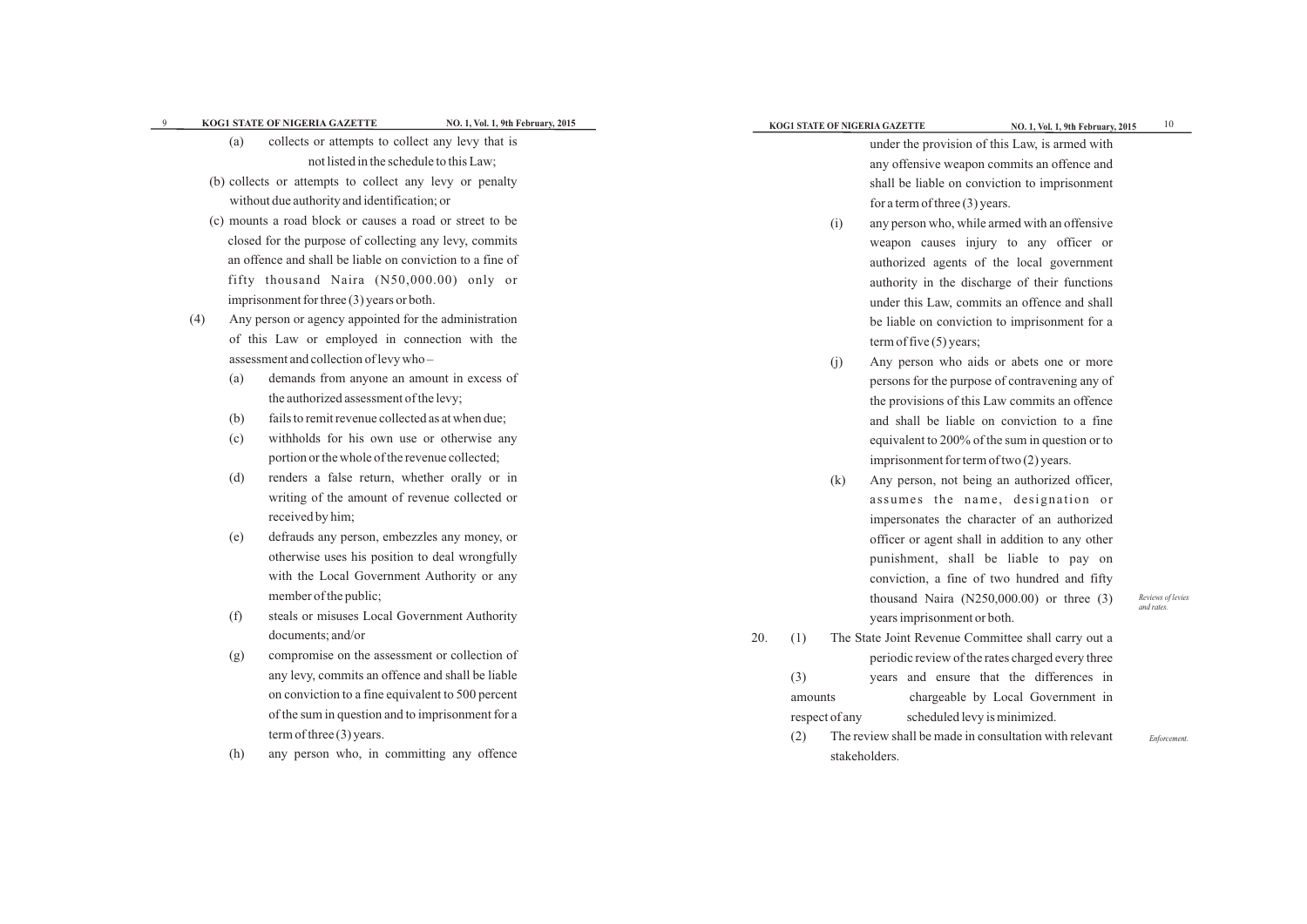*Reviews of levies and rates.*

*Enforcement.*

|     | <b>KOG1 STATE OF NIGERIA GAZETTE</b>                      | NO. 1, Vol. 1, 9th February, 2015 |     |         | KOG1 STATE OF NIGERIA GAZETTE |                                  | NO. 1, Vol. 1, 9th February, 2015                      | 10         |
|-----|-----------------------------------------------------------|-----------------------------------|-----|---------|-------------------------------|----------------------------------|--------------------------------------------------------|------------|
| (a) | collects or attempts to collect any levy that is          |                                   |     |         |                               |                                  | under the provision of this Law, is armed with         |            |
|     | not listed in the schedule to this Law;                   |                                   |     |         |                               |                                  | any offensive weapon commits an offence and            |            |
|     | (b) collects or attempts to collect any levy or penalty   |                                   |     |         |                               |                                  | shall be liable on conviction to imprisonment          |            |
|     | without due authority and identification; or              |                                   |     |         |                               | for a term of three $(3)$ years. |                                                        |            |
|     | (c) mounts a road block or causes a road or street to be  |                                   |     |         | (i)                           |                                  | any person who, while armed with an offensive          |            |
|     | closed for the purpose of collecting any levy, commits    |                                   |     |         |                               |                                  | weapon causes injury to any officer or                 |            |
|     | an offence and shall be liable on conviction to a fine of |                                   |     |         |                               |                                  | authorized agents of the local government              |            |
|     | fifty thousand Naira (N50,000.00) only or                 |                                   |     |         |                               |                                  | authority in the discharge of their functions          |            |
|     | imprisonment for three $(3)$ years or both.               |                                   |     |         |                               |                                  | under this Law, commits an offence and shall           |            |
| (4) | Any person or agency appointed for the administration     |                                   |     |         |                               |                                  | be liable on conviction to imprisonment for a          |            |
|     | of this Law or employed in connection with the            |                                   |     |         |                               | term of five $(5)$ years;        |                                                        |            |
|     | assessment and collection of levy who-                    |                                   |     |         | (j)                           |                                  | Any person who aids or abets one or more               |            |
| (a) | demands from anyone an amount in excess of                |                                   |     |         |                               |                                  | persons for the purpose of contravening any of         |            |
|     | the authorized assessment of the levy;                    |                                   |     |         |                               |                                  | the provisions of this Law commits an offence          |            |
| (b) | fails to remit revenue collected as at when due;          |                                   |     |         |                               |                                  | and shall be liable on conviction to a fine            |            |
| (c) | withholds for his own use or otherwise any                |                                   |     |         |                               |                                  | equivalent to 200% of the sum in question or to        |            |
|     | portion or the whole of the revenue collected;            |                                   |     |         |                               |                                  | imprisonment for term of two $(2)$ years.              |            |
| (d) | renders a false return, whether orally or in              |                                   |     |         | (k)                           |                                  | Any person, not being an authorized officer,           |            |
|     | writing of the amount of revenue collected or             |                                   |     |         |                               |                                  | assumes the name, designation or                       |            |
|     | received by him;                                          |                                   |     |         |                               |                                  | impersonates the character of an authorized            |            |
| (e) | defrauds any person, embezzles any money, or              |                                   |     |         |                               |                                  | officer or agent shall in addition to any other        |            |
|     | otherwise uses his position to deal wrongfully            |                                   |     |         |                               |                                  | punishment, shall be liable to pay on                  |            |
|     | with the Local Government Authority or any                |                                   |     |         |                               |                                  | conviction, a fine of two hundred and fifty            |            |
|     | member of the public;                                     |                                   |     |         |                               |                                  | thousand Naira $(N250,000.00)$ or three $(3)$          | Reviews of |
| (f) | steals or misuses Local Government Authority              |                                   |     |         |                               | years imprisonment or both.      |                                                        | and rates. |
|     | documents; and/or                                         |                                   | 20. | (1)     |                               |                                  | The State Joint Revenue Committee shall carry out a    |            |
| (g) | compromise on the assessment or collection of             |                                   |     |         |                               |                                  | periodic review of the rates charged every three       |            |
|     | any levy, commits an offence and shall be liable          |                                   |     | (3)     |                               |                                  | years and ensure that the differences in               |            |
|     | on conviction to a fine equivalent to 500 percent         |                                   |     | amounts |                               |                                  | chargeable by Local Government in                      |            |
|     | of the sum in question and to imprisonment for a          |                                   |     |         | respect of any                |                                  | scheduled levy is minimized.                           |            |
|     | term of three $(3)$ years.                                |                                   |     | (2)     |                               |                                  | The review shall be made in consultation with relevant | Enforce    |
| (h) | any person who, in committing any offence                 |                                   |     |         | stakeholders.                 |                                  |                                                        |            |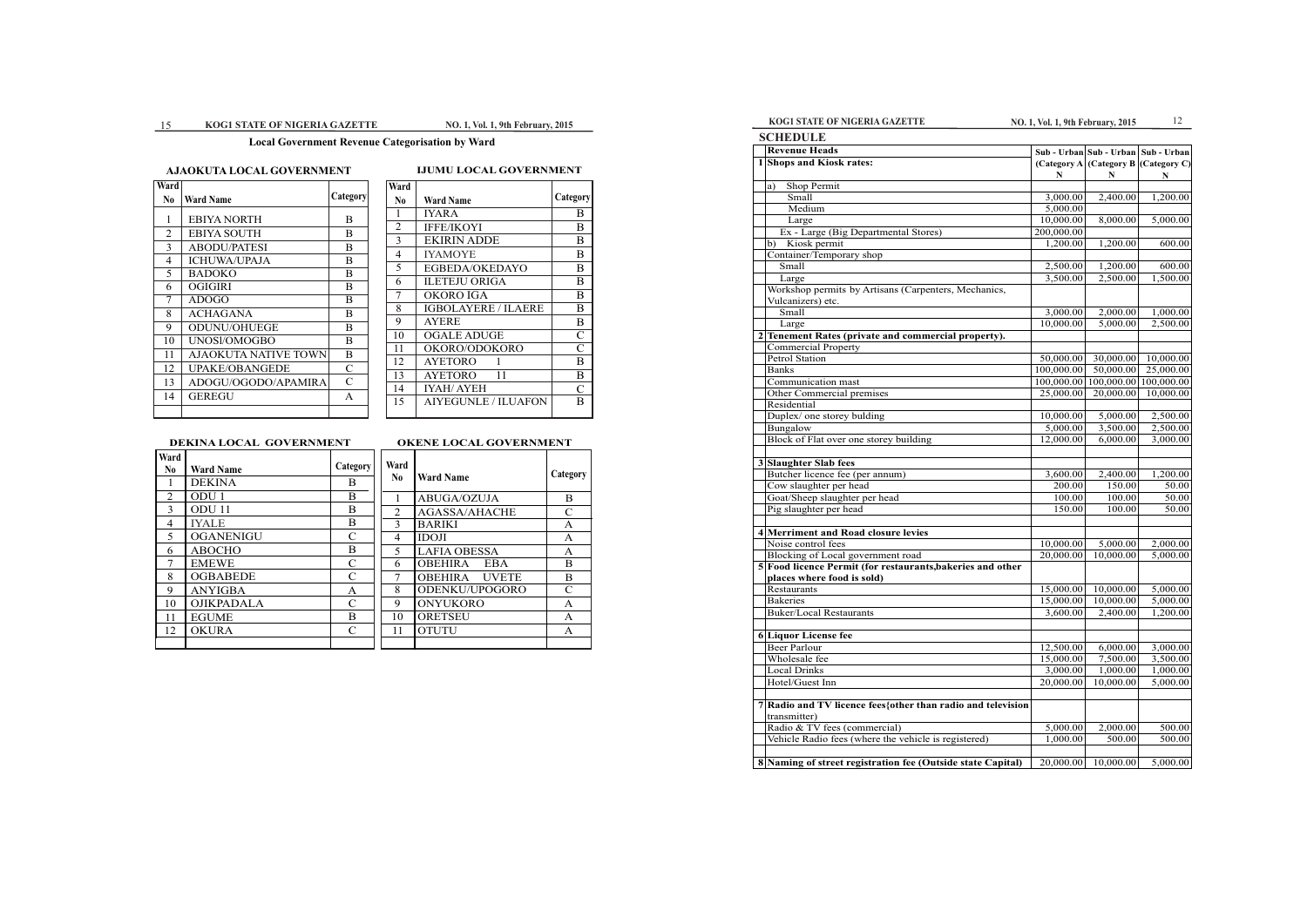| <b>SCHEDULE</b>                                              |            |                                      |             |
|--------------------------------------------------------------|------------|--------------------------------------|-------------|
| <b>Revenue Heads</b>                                         |            | Sub - Urban Sub - Urban Sub - Urban  |             |
| 1 Shops and Kiosk rates:                                     |            | (Category A (Category B (Category C) |             |
|                                                              | N          | N                                    | $\mathbf N$ |
| Shop Permit<br>a)                                            |            |                                      |             |
| Small                                                        | 3,000.00   | 2,400.00                             | 1,200.00    |
| Medium                                                       | 5,000.00   |                                      |             |
| Large                                                        | 10,000.00  | 8,000.00                             | 5,000.00    |
| Ex - Large (Big Departmental Stores)                         | 200,000.00 |                                      |             |
| Kiosk permit<br>b)                                           | 1,200.00   | 1,200.00                             | 600.00      |
| Container/Temporary shop                                     |            |                                      |             |
| Small                                                        | 2,500.00   | 1,200.00                             | 600.00      |
| Large                                                        | 3,500.00   | 2,500.00                             | 1,500.00    |
| Workshop permits by Artisans (Carpenters, Mechanics,         |            |                                      |             |
| Vulcanizers) etc.                                            |            |                                      |             |
| Small                                                        | 3,000.00   | 2,000.00                             | 1,000.00    |
| Large                                                        | 10,000.00  | 5,000.00                             | 2,500.00    |
| 2 Tenement Rates (private and commercial property).          |            |                                      |             |
| <b>Commercial Property</b>                                   |            |                                      |             |
| <b>Petrol Station</b>                                        | 50,000.00  | 30,000.00                            | 10,000.00   |
| <b>Banks</b>                                                 | 100,000.00 | 50,000.00                            | 25,000.00   |
| Communication mast                                           |            | 100,000.00 100,000.00                | 100,000.00  |
| Other Commercial premises                                    | 25,000.00  | 20,000.00                            | 10,000.00   |
| Residential                                                  |            |                                      |             |
| Duplex/ one storey bulding                                   | 10,000.00  | 5,000.00                             | 2,500.00    |
| Bungalow                                                     | 5,000.00   | 3,500.00                             | 2,500.00    |
| Block of Flat over one storey building                       | 12,000.00  | 6,000.00                             | 3,000.00    |
|                                                              |            |                                      |             |
| 3 Slaughter Slab fees                                        |            |                                      |             |
| Butcher licence fee (per annum)                              | 3,600.00   | 2,400.00                             | 1,200.00    |
| Cow slaughter per head                                       | 200.00     | 150.00                               | 50.00       |
| Goat/Sheep slaughter per head                                | 100.00     | 100.00                               | 50.00       |
| Pig slaughter per head                                       | 150.00     | 100.00                               | 50.00       |
|                                                              |            |                                      |             |
| 4 Merriment and Road closure levies                          |            |                                      |             |
| Noise control fees                                           | 10,000.00  | 5,000.00                             | 2,000.00    |
| Blocking of Local government road                            | 20,000.00  | 10,000.00                            | 5,000.00    |
| 5 Food licence Permit (for restaurants, bakeries and other   |            |                                      |             |
| places where food is sold)                                   |            |                                      |             |
| Restaurants                                                  | 15,000.00  | 10,000.00                            | 5,000.00    |
| <b>Bakeries</b>                                              | 15,000.00  | 10,000.00                            | 5,000.00    |
| <b>Buker/Local Restaurants</b>                               | 3,600.00   | 2,400.00                             | 1,200.00    |
|                                                              |            |                                      |             |
| 6 Liquor License fee                                         |            |                                      |             |
| <b>Beer Parlour</b>                                          | 12,500.00  | 6,000.00                             | 3,000.00    |
| Wholesale fee                                                | 15,000.00  | 7,500.00                             | 3,500.00    |
| <b>Local Drinks</b>                                          | 3,000.00   | 1,000.00                             | 1,000.00    |
| Hotel/Guest Inn                                              | 20,000.00  | 10,000.00                            | 5,000.00    |
|                                                              |            |                                      |             |
| 7 Radio and TV licence fees {other than radio and television |            |                                      |             |
| transmitter)                                                 |            |                                      |             |
| Radio & TV fees (commercial)                                 | 5,000.00   | 2,000.00                             | 500.00      |
| Vehicle Radio fees (where the vehicle is registered)         | 1,000.00   | 500.00                               | 500.00      |
|                                                              |            |                                      |             |
| 8 Naming of street registration fee (Outside state Capital)  | 20,000.00  | 10,000.00                            | 5,000.00    |

# **NO. 1, Vol. 1, 9th February, 2015** 15 **KOG1 STATE OF NIGERIA GAZETTE NO. 1, Vol. 1, 9th February, 2015**

# **Local Government Revenue Categorisation by Ward**

# **AJAOKUTA LOCAL GOVERNMENT IJUMU LOCAL GOVERNMENT**

| Ward           |                             |          |
|----------------|-----------------------------|----------|
| No             | <b>Ward Name</b>            | Category |
| 1              | <b>EBIYA NORTH</b>          | B        |
| $\overline{2}$ | <b>EBIYA SOUTH</b>          | В        |
| 3              | <b>ABODU/PATESI</b>         | B        |
| 4              | <b>ICHUWA/UPAJA</b>         | B        |
| 5              | <b>BADOKO</b>               | B        |
| 6              | <b>OGIGIRI</b>              | B        |
| 7              | <b>ADOGO</b>                | B        |
| 8              | <b>ACHAGANA</b>             | B        |
| 9              | <b>ODUNU/OHUEGE</b>         | B        |
| 10             | UNOS1/OMOGBO                | B        |
| 11             | <b>AJAOKUTA NATIVE TOWN</b> | B        |
| 12             | UPAKE/OBANGEDE              | C        |
| 13             | ADOGU/OGODO/APAMIRA         | C        |
| 14             | GEREGU                      | A        |
|                |                             |          |

| Ward           |                            |                |
|----------------|----------------------------|----------------|
| N <sub>0</sub> | <b>Ward Name</b>           | Category       |
|                | <b>IYARA</b>               | B              |
| $\overline{2}$ | <b>IFFE/IKOYI</b>          | B              |
| 3              | <b>EKIRIN ADDE</b>         | B              |
| $\overline{4}$ | <b>IYAMOYE</b>             | B              |
| 5              | EGBEDA/OKEDAYO             | B              |
| 6              | ILETEJU ORIGA              | B              |
| 7              | OKORO IGA                  | B              |
| 8              | <b>IGBOLAYERE / ILAERE</b> | B              |
| 9              | <b>AYERE</b>               | B              |
| 10             | OGALE ADUGE                | $\overline{C}$ |
| 11             | OKORO/ODOKORO              | C              |
| 12             | <b>AYETORO</b><br>1        | B              |
| 13             | AYETORO<br>11              | B              |
| 14             | IYAH/AYEH                  | $\mathcal{C}$  |
| 15             | AIYEGUNLE / ILUAFON        | B              |
|                |                            |                |

# **DEKINA LOCAL GOVERNMENT OKENE LOCAL GOVERNMENT**

| Ward           |                   |               |                |
|----------------|-------------------|---------------|----------------|
| N <sub>0</sub> | <b>Ward Name</b>  | Category      | Ward           |
| 1              | <b>DEKINA</b>     | B             | N <sub>0</sub> |
| 2              | ODU 1             | B             |                |
| 3              | ODU <sub>11</sub> | B             | $\overline{2}$ |
| 4              | <b>IYALE</b>      | B             | $\overline{3}$ |
| 5              | <b>OGANENIGU</b>  | $\mathbf C$   | 4              |
| 6              | <b>ABOCHO</b>     | B             | 5              |
| 7              | <b>EMEWE</b>      | $\mathcal{C}$ | 6              |
| 8              | <b>OGBABEDE</b>   | $\mathcal{C}$ | 7              |
| 9              | <b>ANYIGBA</b>    | A             | 8              |
| 10             | <b>OJIKPADALA</b> | $\mathcal{C}$ | 9              |
| 11             | <b>EGUME</b>      | B             | 10             |
| 12             | <b>OKURA</b>      | $\mathcal{C}$ | 11             |
|                |                   |               |                |

| Ward<br>No.    | <b>Ward Name</b>     | Category       |
|----------------|----------------------|----------------|
| 1              | <b>ABUGA/OZUJA</b>   | B              |
| 2              | <b>AGASSA/AHACHE</b> | $\mathcal{C}$  |
| $\mathcal{E}$  | <b>BARIKI</b>        | $\overline{A}$ |
| $\overline{4}$ | <b>IDOJI</b>         | $\overline{A}$ |
| 5              | <b>LAFIA OBESSA</b>  | $\mathsf{A}$   |
| 6              | <b>OBEHIRA EBA</b>   | $\overline{B}$ |
| 7              | <b>OBEHIRA UVETE</b> | B              |
| 8              | ODENKU/UPOGORO       | $\mathcal{C}$  |
| 9              | ONYUKORO             | $\overline{A}$ |
| 10             | ORETSEU              | $\mathsf{A}$   |
| 11             | <b>OTUTU</b>         | A              |
|                |                      |                |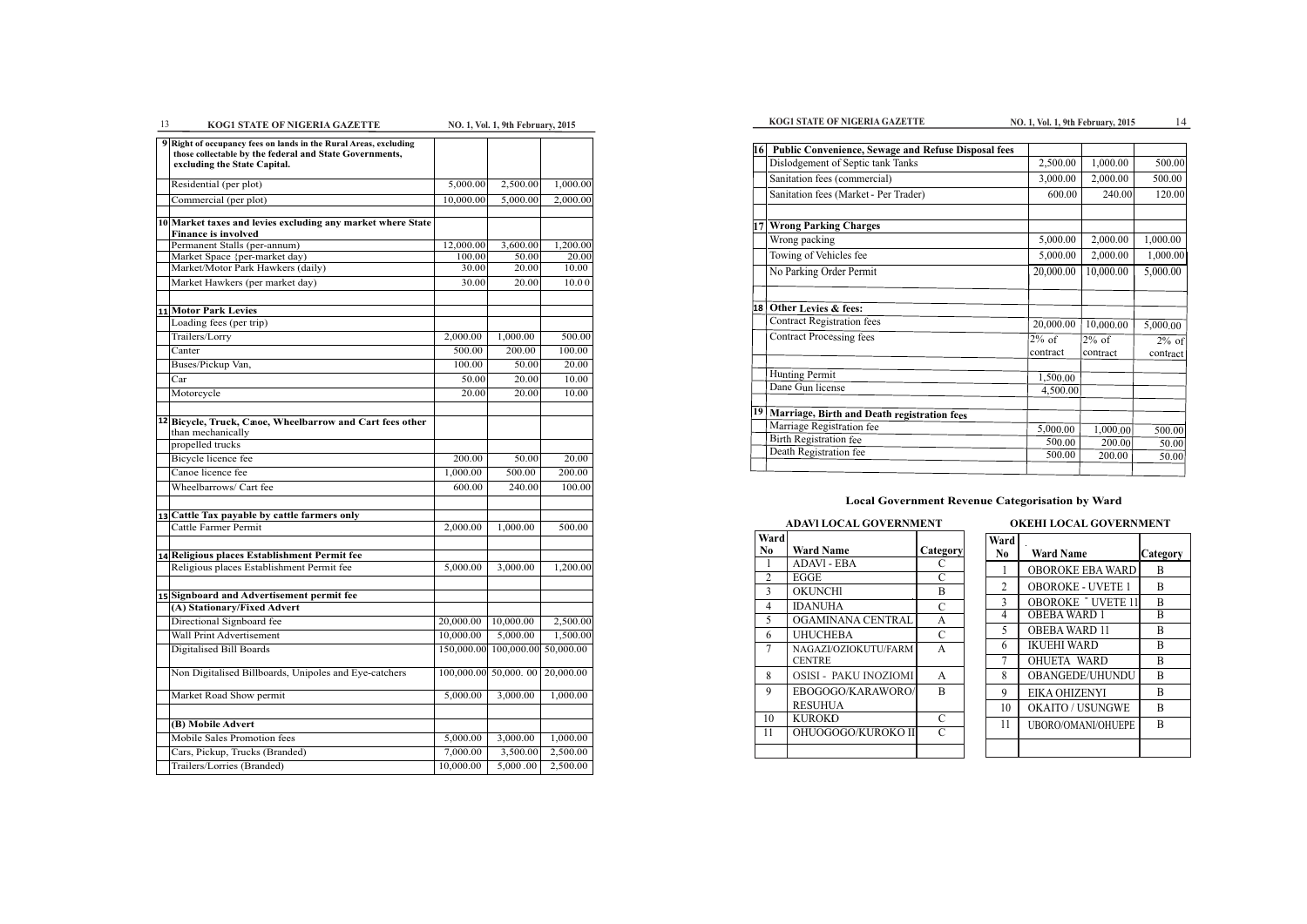**NO. 1, Vol. 1, 9th February, 2015** 

# **Local Government Revenue Categorisation by Ward**

# **ADAVl LOCAL GOVERNMENT OKEHI LOCAL GOVERNMENT**

| Ward           |                                       |                 |
|----------------|---------------------------------------|-----------------|
| N <sub>0</sub> | Ward Name                             | <b>Category</b> |
|                | ADAVI - EBA                           | C               |
| $\mathfrak{D}$ | EGGE                                  | C               |
| 3              | OKUNCHI                               | B               |
| 4              | IDANUHA                               | C               |
| 5              | OGAMINANA CENTRAL                     | A               |
| 6              | UHUCHEBA                              | C               |
| 7              | NAGAZI/OZIOKUTU/FARM<br><b>CENTRE</b> | A               |
| 8              | OSISI - PAKU INOZIOMI                 | A               |
| 9              | EBOGOGO/KARAWORO/<br>RESUHUA          | В               |
| 10             | KUROKO                                | C               |
| 11             | OHUOGOGO/KUROKO II                    | $\subset$       |
|                |                                       |                 |

| Ward<br>No. | <b>Ward Name</b>         | Category |
|-------------|--------------------------|----------|
| 1           | <b>OBOROKE EBA WARD</b>  | B        |
| 2           | <b>OBOROKE - UVETE 1</b> | B        |
| 3           | <b>OBOROKE UVETE 11</b>  | B        |
| 4           | <b>OBEBA WARD 1</b>      | B        |
| 5           | <b>OBEBA WARD 11</b>     | B        |
| 6           | <b>IKUEHI WARD</b>       | R        |
| 7           | OHUETA WARD              | B        |
| 8           | OBANGEDE/UHUNDU          | B        |
| 9           | EIKA OHIZENYI            | B        |
| 10          | <b>OKAITO / USUNGWE</b>  | R        |
| 11          | UBORO/OMANI/OHUEPE       | R        |
|             |                          |          |

| 16 | Public Convenience, Sewage and Refuse Disposal fees |                      |                      |                      |
|----|-----------------------------------------------------|----------------------|----------------------|----------------------|
|    | Dislodgement of Septic tank Tanks                   | 2,500.00             | 1,000.00             | 500.00               |
|    | Sanitation fees (commercial)                        | 3,000.00             | 2,000.00             | 500.00               |
|    | Sanitation fees (Market - Per Trader)               | 600.00               | 240.00               | 120.00               |
| 17 | <b>Wrong Parking Charges</b>                        |                      |                      |                      |
|    | Wrong packing                                       | 5,000.00             | 2,000.00             | 1,000.00             |
|    | Towing of Vehicles fee                              | 5,000.00             | 2,000.00             | 1,000.00             |
|    | No Parking Order Permit                             | 20,000.00            | 10,000.00            | 5,000.00             |
| 18 | Other Levies & fees:                                |                      |                      |                      |
|    | <b>Contract Registration fees</b>                   | 20,000.00            | 10,000.00            | 5,000.00             |
|    | <b>Contract Processing fees</b>                     | $2\%$ of<br>contract | $2\%$ of<br>contract | $2\%$ of<br>contract |
|    | Hunting Permit                                      | 1,500.00             |                      |                      |
|    | Dane Gun license                                    | 4,500.00             |                      |                      |
| 19 | Marriage, Birth and Death registration fees         |                      |                      |                      |
|    | Marriage Registration fee                           | 5,000.00             | 1,000.00             | 500.00               |
|    | <b>Birth Registration fee</b>                       | 500.00               | 200.00               | 50.00                |
|    | Death Registration fee                              | 500.00               | 200.00               | 50.00                |

| 13 | <b>KOG1 STATE OF NIGERIA GAZETTE</b>                                                                                                                        |                 | NO. 1, Vol. 1, 9th February, 2015 |                |
|----|-------------------------------------------------------------------------------------------------------------------------------------------------------------|-----------------|-----------------------------------|----------------|
|    | 9 Right of occupancy fees on lands in the Rural Areas, excluding<br>those collectable by the federal and State Governments,<br>excluding the State Capital. |                 |                                   |                |
|    | Residential (per plot)                                                                                                                                      | 5,000.00        | 2,500.00                          | 1,000.00       |
|    | Commercial (per plot)                                                                                                                                       | 10,000.00       | 5,000.00                          | 2,000.00       |
|    | 10 Market taxes and levies excluding any market where State<br><b>Finance is involved</b>                                                                   |                 |                                   |                |
|    | Permanent Stalls (per-annum)                                                                                                                                | 12,000.00       | 3,600.00                          | 1,200.00       |
|    | Market Space {per-market day)<br>Market/Motor Park Hawkers (daily)                                                                                          | 100.00<br>30.00 | 50.00<br>20.00                    | 20.00<br>10.00 |
|    | Market Hawkers (per market day)                                                                                                                             | 30.00           | 20.00                             | 10.00          |
|    |                                                                                                                                                             |                 |                                   |                |
|    | 11 Motor Park Levies                                                                                                                                        |                 |                                   |                |
|    | Loading fees (per trip)                                                                                                                                     |                 |                                   |                |
|    | Trailers/Lorry                                                                                                                                              | 2,000.00        | 1,000.00                          | 500.00         |
|    | Canter                                                                                                                                                      | 500.00          | 200.00                            | 100.00         |
|    | Buses/Pickup Van,                                                                                                                                           | 100.00          | 50.00                             | 20.00          |
|    | Car                                                                                                                                                         | 50.00           | 20.00                             | 10.00          |
|    | Motorcycle                                                                                                                                                  | 20.00           | 20.00                             | 10.00          |
|    | 12 Bicycle, Truck, Caoe, Wheelbarrow and Cart fees other<br>than mechanically<br>propelled trucks                                                           |                 |                                   |                |
|    | Bicycle licence fee                                                                                                                                         | 200.00          | 50.00                             | 20.00          |
|    | Canoe licence fee                                                                                                                                           | 1,000.00        | 500.00                            | 200.00         |
|    | Wheelbarrows/ Cart fee                                                                                                                                      | 600.00          | 240.00                            | 100.00         |
|    | 13 Cattle Tax payable by cattle farmers only                                                                                                                |                 |                                   |                |
|    | Cattle Farmer Permit                                                                                                                                        | 2,000.00        | 1,000.00                          | 500.00         |
|    |                                                                                                                                                             |                 |                                   |                |
|    | 14 Religious places Establishment Permit fee                                                                                                                |                 |                                   |                |
|    | Religious places Establishment Permit fee                                                                                                                   | 5,000.00        | 3,000.00                          | 1,200.00       |
|    | 15 Signboard and Advertisement permit fee                                                                                                                   |                 |                                   |                |
|    | (A) Stationary/Fixed Advert                                                                                                                                 |                 |                                   |                |
|    | Directional Signboard fee                                                                                                                                   | 20,000.00       | 10,000.00                         | 2,500.00       |
|    | Wall Print Advertisement                                                                                                                                    | 10,000.00       | 5,000.00                          | 1,500.00       |
|    | Digitalised Bill Boards                                                                                                                                     | 150,000.00      | 100,000.00                        | 50,000.00      |
|    | Non Digitalised Billboards, Unipoles and Eye-catchers                                                                                                       |                 | 100,000.00 50,000.00              | 20,000.00      |
|    | Market Road Show permit                                                                                                                                     | 5,000.00        | 3,000.00                          | 1,000.00       |
|    | (B) Mobile Advert                                                                                                                                           |                 |                                   |                |
|    | Mobile Sales Promotion fees                                                                                                                                 | 5,000.00        | 3,000.00                          | 1,000.00       |
|    | Cars, Pickup, Trucks (Branded)                                                                                                                              | 7,000.00        | 3,500.00                          | 2,500.00       |
|    | Trailers/Lorries (Branded)                                                                                                                                  | 10,000.00       | 5,000.00                          | 2,500.00       |
|    |                                                                                                                                                             |                 |                                   |                |

# **KOG1 STATE OF NIGERIA GAZETTE 14 NO. 1, Vol. 1, 9th February, 2015** 14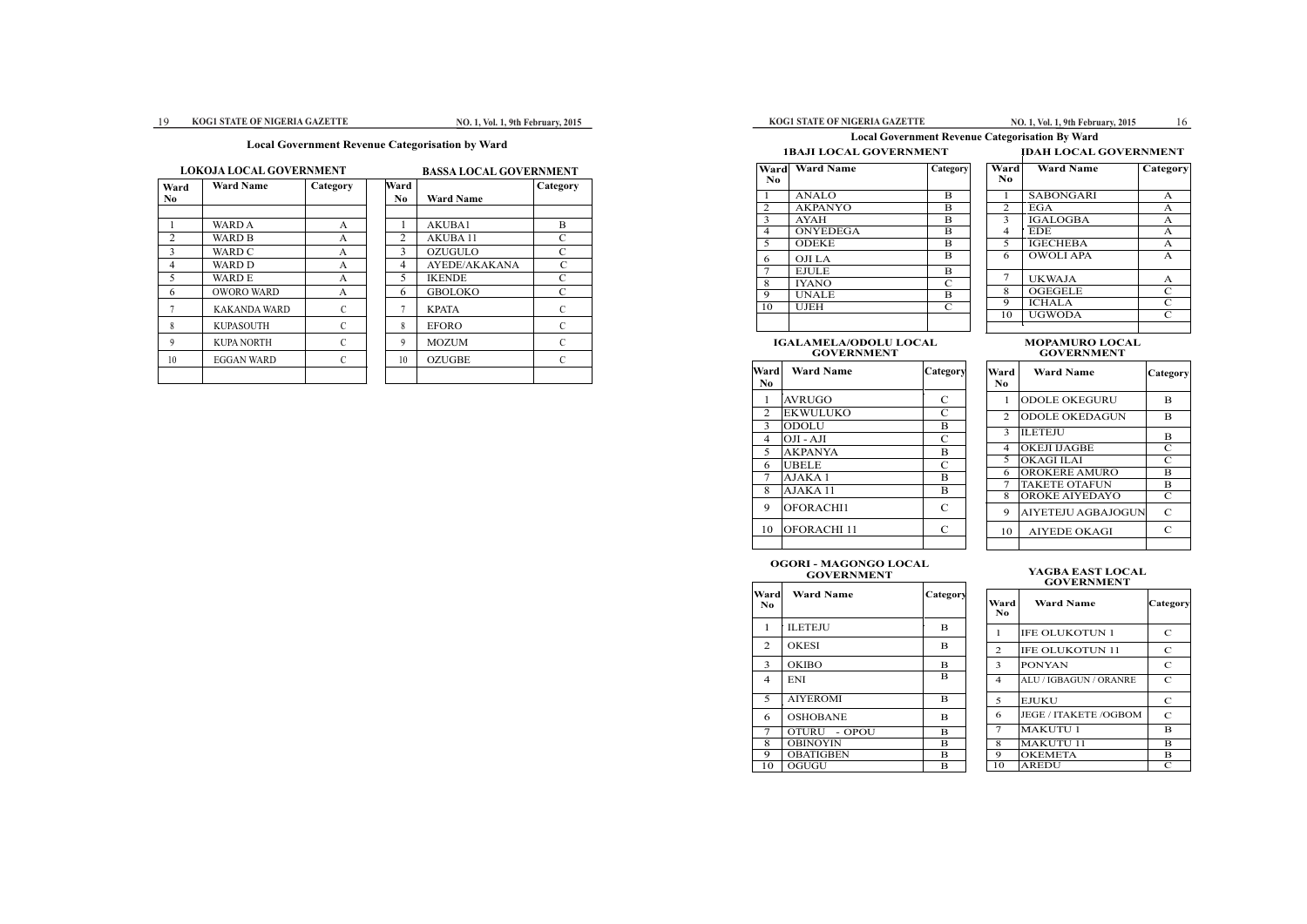# **1BAJI LOCAL GOVERNMENT**

# **KOG1 STATE OF NIGERIA GAZETTE**

### **IDAH LOCAL GOVERNMENT Ward No Ward Name Category** 1 SABONGARI A<br>2 EGA A 2 EGA A<br>3 IGALOGBA A 3 IGALOGBA A<br>4 EDE A 4 EDE A<br>5 IGECHEBA A **IGECHEBA** 6 7 OWOLI APA A UKWAJA A<br>OGEGELE C 8 OGEGELE 9 ICHALA C<br>10 UGWODA C 10 UGWODA

### **IGALAMELA/ODOLU LOCAL GOVERNMENT**

### **MOPAMURO LOCAL GOVERNMENT**

| Ward | <b>Ward Name</b> | Category |
|------|------------------|----------|
| No   |                  |          |
| 1    | <b>ANALO</b>     | B        |
| 2    | <b>AKPANYO</b>   | B        |
| 3    | <b>AYAH</b>      | B        |
| 4    | ONYEDEGA         | B        |
| 5    | <b>ODEKE</b>     | B        |
| 6    | OJI LA           | в        |
| 7    | <b>EJULE</b>     | B        |
| 8    | <b>IYANO</b>     | C        |
| 9    | UNALE            | B        |
| 10   | UJEH             | C        |
|      |                  |          |

| <b>Ward Name</b>  | Category      | Ward<br>No.                 | <b>Ward Name</b>     | Category      |
|-------------------|---------------|-----------------------------|----------------------|---------------|
| VRUGO             | $\mathcal{C}$ |                             | <b>ODOLE OKEGURU</b> | B             |
| KWULUKO           | $\mathcal{C}$ | $\mathcal{D}_{\mathcal{L}}$ | ODOLE OKEDAGUN       | B             |
| DOLU              | B             | 3                           | <b>ILETEJU</b>       |               |
| JI - AJI          | $\mathcal{C}$ |                             |                      | B             |
| <b>KPANYA</b>     | B             | 4                           | <b>OKEJI IJAGBE</b>  | $\mathsf{C}$  |
| <b>BELE</b>       | $\mathcal{C}$ | 5                           | <b>OKAGI ILAI</b>    | C             |
| JAKA 1            | B             | 6                           | <b>OROKERE AMURO</b> | B             |
| JAKA 11           | B             | 7                           | <b>TAKETE OTAFUN</b> | B             |
|                   |               | 8                           | OROKE AIYEDAYO       | $\mathcal{C}$ |
| <b>FORACHI1</b>   | $\mathcal{C}$ | 9                           | AIYETEJU AGBAJOGUN   | $\mathsf{C}$  |
| <b>FORACHI 11</b> | $\mathcal{C}$ | 10                          | <b>AIYEDE OKAGI</b>  | $\mathcal{C}$ |
|                   |               |                             |                      |               |

# **YAGBA EAST LOCAL<br>GOVERNMENT**

| Ward<br>$\mathbf{N}\mathbf{0}$ | <b>Ward Name</b>   | Category      | Ward<br>N <sub>0</sub> | <b>Ward Name</b>      | Cates |
|--------------------------------|--------------------|---------------|------------------------|-----------------------|-------|
|                                | <b>AVRUGO</b>      | C             |                        | <b>ODOLE OKEGURU</b>  | B     |
| 2                              | <b>EKWULUKO</b>    | C             | $\mathcal{L}$          | <b>ODOLE OKEDAGUN</b> | B     |
| $\mathcal{E}$                  | <b>ODOLU</b>       | B             |                        |                       |       |
| 4                              | $OJI - AJI$        | C             | $\mathbf{3}$           | <b>ILETEJU</b>        | B     |
| 5                              | <b>AKPANYA</b>     | B             | 4                      | <b>OKEJI IJAGBE</b>   | C     |
| 6                              | <b>UBELE</b>       | $\mathcal{C}$ | 5.                     | <b>OKAGI ILAI</b>     | C     |
|                                | AJAKA 1            | B             | 6                      | <b>OROKERE AMURO</b>  | B     |
| 8                              | AJAKA 11           | B             |                        | <b>TAKETE OTAFUN</b>  | B     |
|                                |                    |               | 8                      | <b>OROKE AIYEDAYO</b> | C     |
| 9                              | OFOR ACHI1         | $\mathcal{C}$ | 9                      | AIYETEJU AGBAJOGUN    | C     |
| 10                             | <b>OFORACHI</b> 11 | C             | 10                     | <b>AIYEDE OKAGI</b>   | C     |
|                                |                    |               |                        |                       |       |

| Ward<br>No | <b>Ward Name</b>             | Category      |
|------------|------------------------------|---------------|
| 1          | <b>IFE OLUKOTUN 1</b>        | C             |
| 2          | <b>IFE OLUKOTUN 11</b>       | C             |
| 3          | <b>PONYAN</b>                | $\mathcal{C}$ |
| 4          | ALU / IGBAGUN / ORANRE       | $\mathsf{C}$  |
| 5          | <b>EJUKU</b>                 | C             |
| 6          | <b>JEGE / ITAKETE /OGBOM</b> | $\mathsf{C}$  |
| 7          | <b>MAKUTU 1</b>              | в             |
| 8          | <b>MAKUTU 11</b>             | в             |
| 9          | <b>OKEMETA</b>               | в             |
| 10         | AREDU                        | C             |

# **OGORI - MAGONGO LOCAL GOVERNMENT YAGBA EAST LOCAL**

| Wardl<br>No. | <b>Ward Name</b> | Category |
|--------------|------------------|----------|
| 1            | <b>ILETEJU</b>   | B        |
| 2            | <b>OKESI</b>     | в        |
| 3            | <b>OKIBO</b>     | B        |
| 4            | <b>ENI</b>       | B        |
| 5            | <b>AIYEROMI</b>  | в        |
| 6            | <b>OSHOBANE</b>  | B        |
| 7            | OTURU - OPOU     | B        |
| 8            | <b>OBINOYIN</b>  | в        |
| 9            | <b>OBATIGBEN</b> | B        |
| 10           | OGUGU            | в        |

# **Local Government Revenue Categorisation By Ward**

### **KOG1 STATE OF NIGERIA GAZETTE** 19 **NO. 1, Vol. 1, 9th February, 2015**

# **Local Government Revenue Categorisation by Ward**

# **LOKOJA LOCAL GOVERNMENT BASSA LOCAL GOVERNMENT**

| Ward<br>No. | <b>Ward Name</b>    | Category |
|-------------|---------------------|----------|
|             |                     |          |
| 1           | WARD A              | А        |
| 2           | <b>WARD B</b>       | A        |
| 3           | <b>WARD C</b>       | A        |
| 4           | WARD D              | A        |
| 5           | WARD E              | A        |
| 6           | <b>OWORO WARD</b>   | A        |
| 7           | <b>KAKANDA WARD</b> | C        |
| 8           | <b>KUPASOUTH</b>    | C        |
| 9           | <b>KUPA NORTH</b>   | C        |
| 10          | EGGAN WARD          | C        |
|             |                     |          |

| Ward           |                  | Category      |
|----------------|------------------|---------------|
| N <sub>0</sub> | <b>Ward Name</b> |               |
|                |                  |               |
| 1              | <b>AKUBA1</b>    | B             |
| $\overline{2}$ | <b>AKUBA11</b>   | $\mathcal{C}$ |
| 3              | <b>OZUGULO</b>   | $\mathcal{C}$ |
| 4              | AYEDE/AKAKANA    | $\mathcal{C}$ |
| 5              | <b>IKENDE</b>    | $\mathcal{C}$ |
| 6              | <b>GBOLOKO</b>   | $\mathcal{C}$ |
| 7              | <b>KPATA</b>     | $\mathcal{C}$ |
| 8              | <b>EFORO</b>     | $\mathcal{C}$ |
| 9              | <b>MOZUM</b>     | $\mathcal{C}$ |
| 10             | <b>OZUGBE</b>    | C             |
|                |                  |               |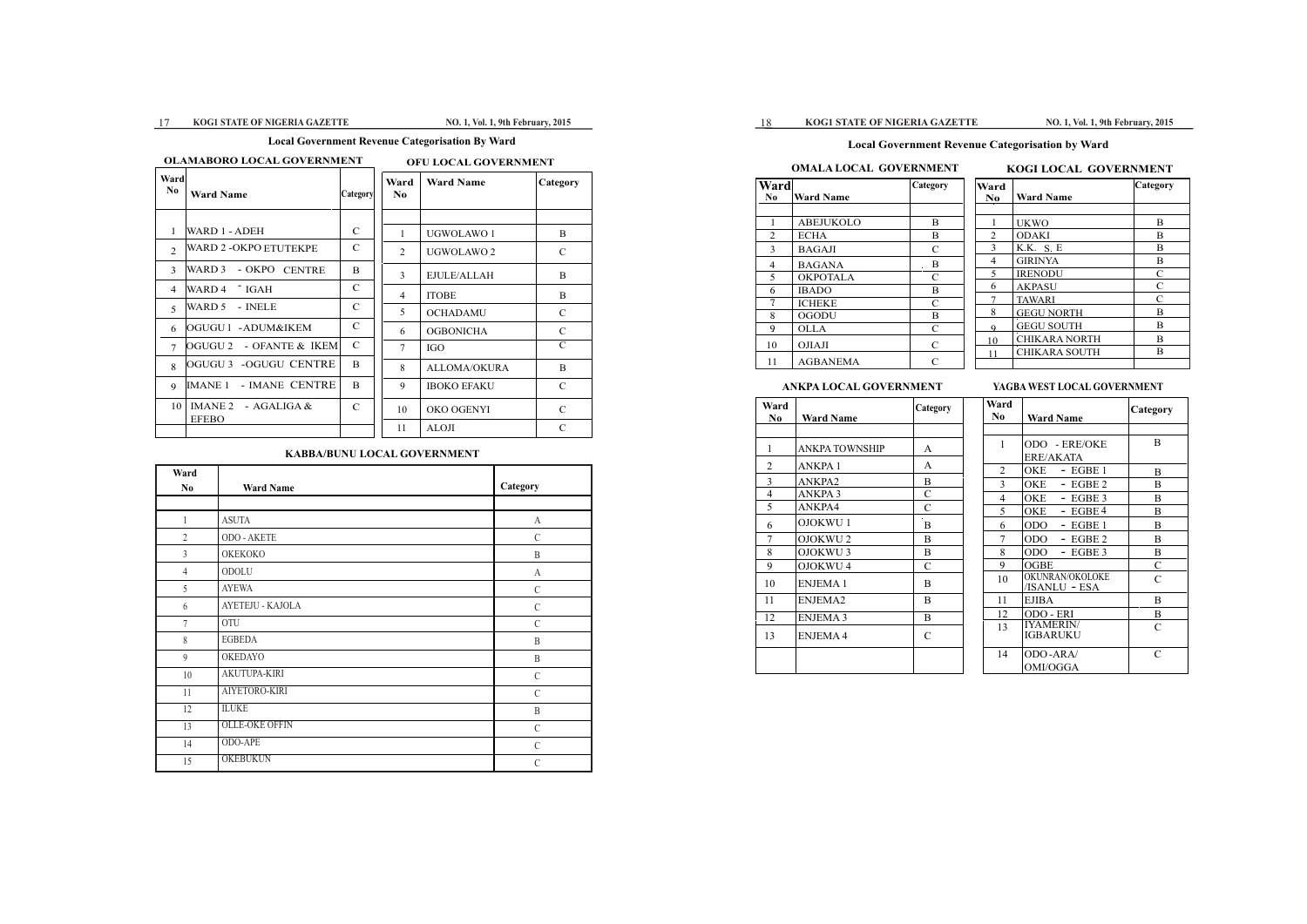### 17 KOG1 STATE OF NIGERIA GAZETTE NO. 1, Vol. 1, 9th February, 2015

 $Categorical$ 

# 18 **KOG1 STATE OF NIGERIA GAZETTE NO. 1, Vol. 1, 9th February, 2015**

# **Local Government Revenue Categorisation by Ward**

# **OMALA LOCAL GOVERNMENT KOGI LOCAL GOVERNMENT**

| Ward           |                  | Category      | Ward           |                      | Category |
|----------------|------------------|---------------|----------------|----------------------|----------|
| N <sub>0</sub> | <b>Ward Name</b> |               | N <sub>0</sub> | <b>Ward Name</b>     |          |
|                |                  |               |                |                      |          |
|                | ABEJUKOLO        | B             |                | <b>UKWO</b>          | B        |
| 2              | <b>ECHA</b>      | B             | $\mathfrak{D}$ | <b>ODAKI</b>         | B        |
| 3              | <b>BAGAJI</b>    | C             | 3              | K.K. S. E            | B        |
| 4              | <b>BAGANA</b>    | $\cdot$ B     | 4              | <b>GIRINYA</b>       | B        |
| 5              | <b>OKPOTALA</b>  | C             | 5              | <b>IRENODU</b>       | C        |
| 6              | <b>IBADO</b>     | B             | 6              | <b>AKPASU</b>        | C        |
| 7              | <b>ICHEKE</b>    | C             |                | <b>TAWARI</b>        | C        |
| 8              | <b>OGODU</b>     | B             | 8              | <b>GEGU NORTH</b>    | B        |
| 9              | <b>OLLA</b>      | C             | $\Omega$       | <b>GEGU SOUTH</b>    | B        |
|                |                  | $\mathcal{C}$ | 10             | <b>CHIKARA NORTH</b> | B        |
| 10             | <b>OJIAJI</b>    |               | 11             | <b>CHIKARA SOUTH</b> | B        |
| 11             | <b>AGBANEMA</b>  |               |                |                      |          |

# **ANKPA LOCAL GOVERNMENT YAGBA WEST LOCAL GOVERNMENT**

| Ward<br>$\bf No$ | <b>Ward Name</b>      | Category      | Ward<br>N <sub>0</sub> | <b>Ward Name</b>                    | Catego        |
|------------------|-----------------------|---------------|------------------------|-------------------------------------|---------------|
|                  |                       |               |                        |                                     |               |
| $\mathbf{1}$     | <b>ANKPA TOWNSHIP</b> | A             | 1                      | ODO - ERE/OKE                       | B             |
| 2                | ANKPA 1               | A             |                        | ERE/AKATA                           |               |
|                  |                       |               | $\mathfrak{D}$         | $-$ EGBE 1<br>OKE                   | B             |
| 3                | ANKPA2                | B             | 3                      | <b>OKE</b><br>$-$ EGBE 2            | B             |
| $\overline{4}$   | <b>ANKPA3</b>         | C             | 4                      | <b>OKE</b><br>$-$ EGBE 3            | B             |
| 5                | ANKPA4                | $\mathcal{C}$ | 5                      | $-EGBE4$<br>OKE                     | B             |
| 6                | <b>OJOKWU1</b>        | B             | 6                      | <b>ODO</b><br>$-$ EGBE 1            | B             |
| 7                | OJOKWU <sub>2</sub>   | B             | 7                      | $-$ EGBE 2<br>ODO.                  | B             |
| 8                | OJOKWU <sub>3</sub>   | B             | 8                      | ODO.<br>$-$ EGBE 3                  | B             |
| 9                | OJOKWU 4              | C             | 9                      | <b>OGBE</b>                         | $\mathcal{C}$ |
| 10               | <b>ENJEMA1</b>        | B             | 10                     | OKUNRAN/OKOLOKE<br>/ISANLU - ESA    | $\mathcal{C}$ |
| 11               | ENJEMA2               | B             | 11                     | <b>EJIBA</b>                        | B             |
| 12               | <b>ENJEMA 3</b>       | B             | 12                     | ODO - ERI                           | B             |
| 13               | <b>ENJEMA4</b>        | $\mathcal{C}$ | 13                     | <b>IYAMERIN/</b><br><b>IGBARUKU</b> | C             |
|                  |                       |               | 14                     | ODO-ARA/<br>OMI/OGGA                | $\mathcal{C}$ |

|                |                                     | Category     |
|----------------|-------------------------------------|--------------|
| N0             | Ward Name                           |              |
|                |                                     |              |
| 1              | ODO - ERE/OKE                       | B            |
|                | ERE/AKATA                           |              |
| $\overline{2}$ | OKE<br>- EGBE 1                     | B            |
| 3              | OKE<br>$-$ EGBE 2                   | B            |
| 4              | OKE<br>$-$ EGBE 3                   | B            |
| 5              | OKE<br>- EGBE 4                     | B            |
| 6              | ODO<br>$-$ EGBE 1                   | B            |
| 7              | ODO<br>- EGBE 2                     | B            |
| 8              | ODO.<br>- EGBE 3                    | B            |
| 9              | OGBE                                | $\mathsf{C}$ |
| 10             | OKUNRAN/OKOLOKE<br>/ISANLU - ESA    | C            |
| 11             | EJIBA                               | B            |
| 12             | ODO - ERI                           | B            |
| 13             | <b>IYAMERIN/</b><br><b>IGBARUKU</b> | C            |
| 14             | ODO-ARA/<br>OMI/OGGA                | C            |

# **Local Government Revenue Categorisation By Ward**

# **OLAMABORO LOCAL GOVERNMENT OFU LOCAL GOVERNMENT**

| Ward<br>No.    | <b>Ward Name</b>         | Category      | Ward<br>No.    | <b>Ward Name</b>      | Catego        |
|----------------|--------------------------|---------------|----------------|-----------------------|---------------|
|                |                          |               |                |                       |               |
| $\mathbf{1}$   | WARD 1 - ADEH            | $\mathcal{C}$ | 1              | UGWOLAWO 1            | B             |
| $\mathcal{L}$  | WARD 2 -OKPO ETUTEKPE    | $\mathsf{C}$  | 2              | UGWOLAWO <sub>2</sub> | $\mathcal{C}$ |
| $\mathbf{3}$   | WARD 3<br>- OKPO CENTRE  | B.            | $\mathbf{3}$   | EJULE/ALLAH           | B             |
| $\overline{4}$ | WARD 4 [GAH]             | $\mathcal{C}$ | 4              | <b>ITOBE</b>          | B             |
| 5              | WARD 5<br>- INELE        | $\mathcal{C}$ | 5              | <b>OCHADAMU</b>       | C             |
| 6              | OGUGU 1 - ADUM&IKEM      | $\mathcal{C}$ | 6              | <b>OGBONICHA</b>      | $\mathcal{C}$ |
| $\tau$         | OGUGU 2 - OFANTE & IKEMI | $\mathcal{C}$ | $\overline{7}$ | <b>IGO</b>            | C             |
| 8              | OGUGU 3 - OGUGU CENTRE   | B.            | 8              | <b>ALLOMA/OKURA</b>   | B             |
| $\mathbf Q$    | IMANE 1 - IMANE CENTRE   | <sub>B</sub>  | 9              | <b>IBOKO EFAKU</b>    | $\mathcal{C}$ |
| 10             | IMANE $2 - AGALIGA &$    | $\mathcal{C}$ | 10             | OKO OGENYI            | $\mathcal{C}$ |
|                | <b>EFEBO</b>             |               | 11             | <b>ALOJI</b>          | $\mathcal{C}$ |

# **KABBA/BUNU LOCAL GOVERNMENT**

B

| Ward           |                       |               |
|----------------|-----------------------|---------------|
| N <sub>0</sub> | <b>Ward Name</b>      | Category      |
|                |                       |               |
| $\mathbf{1}$   | <b>ASUTA</b>          | A             |
| $\overline{2}$ | ODO - AKETE           | $\mathcal{C}$ |
| $\overline{3}$ | OKEKOKO               | $\mathbf B$   |
| $\overline{4}$ | ODOLU                 | A             |
| 5              | <b>AYEWA</b>          | $\mathcal{C}$ |
| 6              | AYETEJU - KAJOLA      | $\mathcal{C}$ |
| $\overline{7}$ | OTU                   | $\mathcal{C}$ |
| 8              | <b>EGBEDA</b>         | B             |
| 9              | <b>OKEDAYO</b>        | B             |
| 10             | AKUTUPA-KIRI          | $\mathcal{C}$ |
| 11             | AIYETORO-KIRI         | $\mathcal{C}$ |
| 12             | <b>ILUKE</b>          | B             |
| 13             | <b>OLLE-OKE OFFIN</b> | $\mathcal{C}$ |
| 14             | ODO-APE               | $\mathcal{C}$ |
| 15             | <b>OKEBUKUN</b>       | $\mathcal{C}$ |